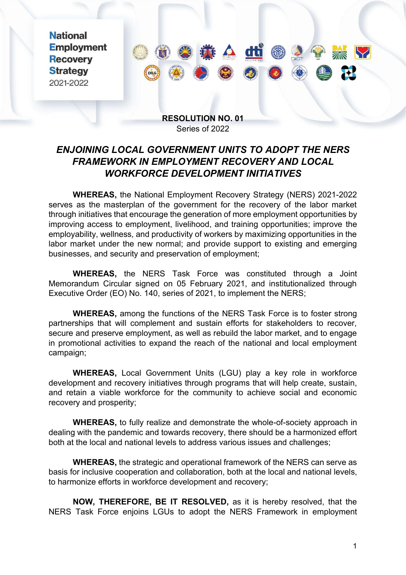**National Employment Recovery Strategy** 2021-2022



## **RESOLUTION NO. 01** Series of 2022

## *ENJOINING LOCAL GOVERNMENT UNITS TO ADOPT THE NERS FRAMEWORK IN EMPLOYMENT RECOVERY AND LOCAL WORKFORCE DEVELOPMENT INITIATIVES*

**WHEREAS,** the National Employment Recovery Strategy (NERS) 2021-2022 serves as the masterplan of the government for the recovery of the labor market through initiatives that encourage the generation of more employment opportunities by improving access to employment, livelihood, and training opportunities; improve the employability, wellness, and productivity of workers by maximizing opportunities in the labor market under the new normal; and provide support to existing and emerging businesses, and security and preservation of employment;

**WHEREAS,** the NERS Task Force was constituted through a Joint Memorandum Circular signed on 05 February 2021, and institutionalized through Executive Order (EO) No. 140, series of 2021, to implement the NERS;

**WHEREAS,** among the functions of the NERS Task Force is to foster strong partnerships that will complement and sustain efforts for stakeholders to recover, secure and preserve employment, as well as rebuild the labor market, and to engage in promotional activities to expand the reach of the national and local employment campaign;

**WHEREAS,** Local Government Units (LGU) play a key role in workforce development and recovery initiatives through programs that will help create, sustain, and retain a viable workforce for the community to achieve social and economic recovery and prosperity;

**WHEREAS,** to fully realize and demonstrate the whole-of-society approach in dealing with the pandemic and towards recovery, there should be a harmonized effort both at the local and national levels to address various issues and challenges;

**WHEREAS,** the strategic and operational framework of the NERS can serve as basis for inclusive cooperation and collaboration, both at the local and national levels, to harmonize efforts in workforce development and recovery;

**NOW, THEREFORE, BE IT RESOLVED,** as it is hereby resolved, that the NERS Task Force enjoins LGUs to adopt the NERS Framework in employment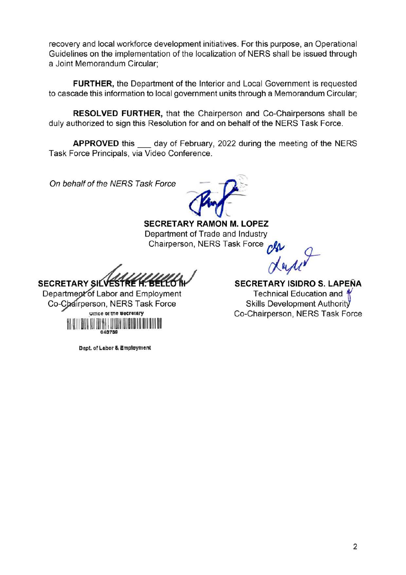recovery and local workforce development initiatives. For this purpose, an Operational Guidelines on the implementation of the localization of NERS shall be issued through a Joint Memorandum Circular;

**FURTHER, the Department of the Interior and Local Government is requested** to cascade this information to local government units through a Memorandum Circular;

**RESOLVED FURTHER, that the Chairperson and Co-Chairpersons shall be** duly authorized to sign this Resolution for and on behalf of the NERS Task Force.

**APPROVED** this day of February, 2022 during the meeting of the NERS Task Force Principals, via Video Conference.

On behalf of the NERS Task Force

**SECRETARY RAMON M. LOPEZ** Department of Trade and Industry Chairperson, NERS Task Force

**SECRETARY SILVE** 

Department of Labor and Employment Co-Chairperson, NERS Task Force **Uffice of the Secretary** 

SECRETARY ISIDRO S. LAPEÑA Technical Education and 4 Skills Development Authority Co-Chairperson, NERS Task Force

Dept. of Labor & Employment